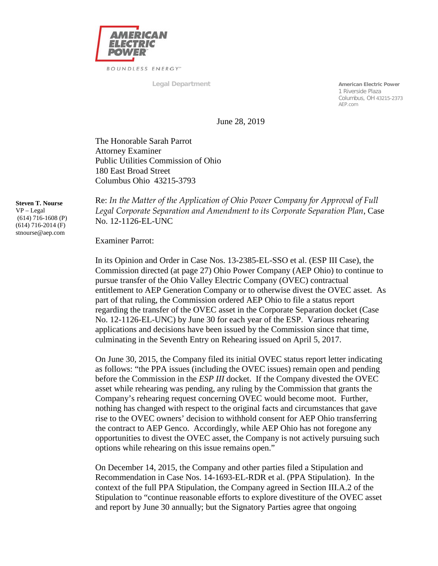

**Legal Department American Electric Power**<br> **American Electric Power**<br> **American Electric Power**  1 Riverside Plaza Columbus, OH 43215-2373 AEP.com

June 28, 2019

The Honorable Sarah Parrot Attorney Examiner Public Utilities Commission of Ohio 180 East Broad Street Columbus Ohio 43215-3793

**Steven T. Nourse** VP – Legal (614) 716-1608 (P) (614) 716-2014 (F) stnourse@aep.com

Re: *In the Matter of the Application of Ohio Power Company for Approval of Full Legal Corporate Separation and Amendment to its Corporate Separation Plan*, Case No. 12-1126-EL-UNC

## Examiner Parrot:

In its Opinion and Order in Case Nos. 13-2385-EL-SSO et al. (ESP III Case), the Commission directed (at page 27) Ohio Power Company (AEP Ohio) to continue to pursue transfer of the Ohio Valley Electric Company (OVEC) contractual entitlement to AEP Generation Company or to otherwise divest the OVEC asset. As part of that ruling, the Commission ordered AEP Ohio to file a status report regarding the transfer of the OVEC asset in the Corporate Separation docket (Case No. 12-1126-EL-UNC) by June 30 for each year of the ESP. Various rehearing applications and decisions have been issued by the Commission since that time, culminating in the Seventh Entry on Rehearing issued on April 5, 2017.

On June 30, 2015, the Company filed its initial OVEC status report letter indicating as follows: "the PPA issues (including the OVEC issues) remain open and pending before the Commission in the *ESP III* docket. If the Company divested the OVEC asset while rehearing was pending, any ruling by the Commission that grants the Company's rehearing request concerning OVEC would become moot. Further, nothing has changed with respect to the original facts and circumstances that gave rise to the OVEC owners' decision to withhold consent for AEP Ohio transferring the contract to AEP Genco. Accordingly, while AEP Ohio has not foregone any opportunities to divest the OVEC asset, the Company is not actively pursuing such options while rehearing on this issue remains open."

On December 14, 2015, the Company and other parties filed a Stipulation and Recommendation in Case Nos. 14-1693-EL-RDR et al. (PPA Stipulation). In the context of the full PPA Stipulation, the Company agreed in Section III.A.2 of the Stipulation to "continue reasonable efforts to explore divestiture of the OVEC asset and report by June 30 annually; but the Signatory Parties agree that ongoing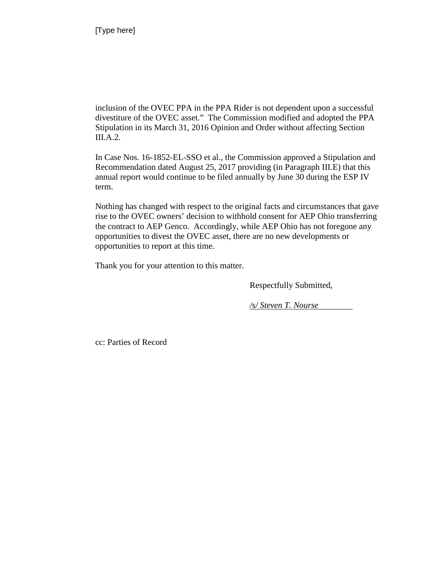inclusion of the OVEC PPA in the PPA Rider is not dependent upon a successful divestiture of the OVEC asset." The Commission modified and adopted the PPA Stipulation in its March 31, 2016 Opinion and Order without affecting Section III.A.2.

In Case Nos. 16-1852-EL-SSO et al., the Commission approved a Stipulation and Recommendation dated August 25, 2017 providing (in Paragraph III.E) that this annual report would continue to be filed annually by June 30 during the ESP IV term.

Nothing has changed with respect to the original facts and circumstances that gave rise to the OVEC owners' decision to withhold consent for AEP Ohio transferring the contract to AEP Genco. Accordingly, while AEP Ohio has not foregone any opportunities to divest the OVEC asset, there are no new developments or opportunities to report at this time.

Thank you for your attention to this matter.

Respectfully Submitted,

*/s/ Steven T. Nourse*

cc: Parties of Record